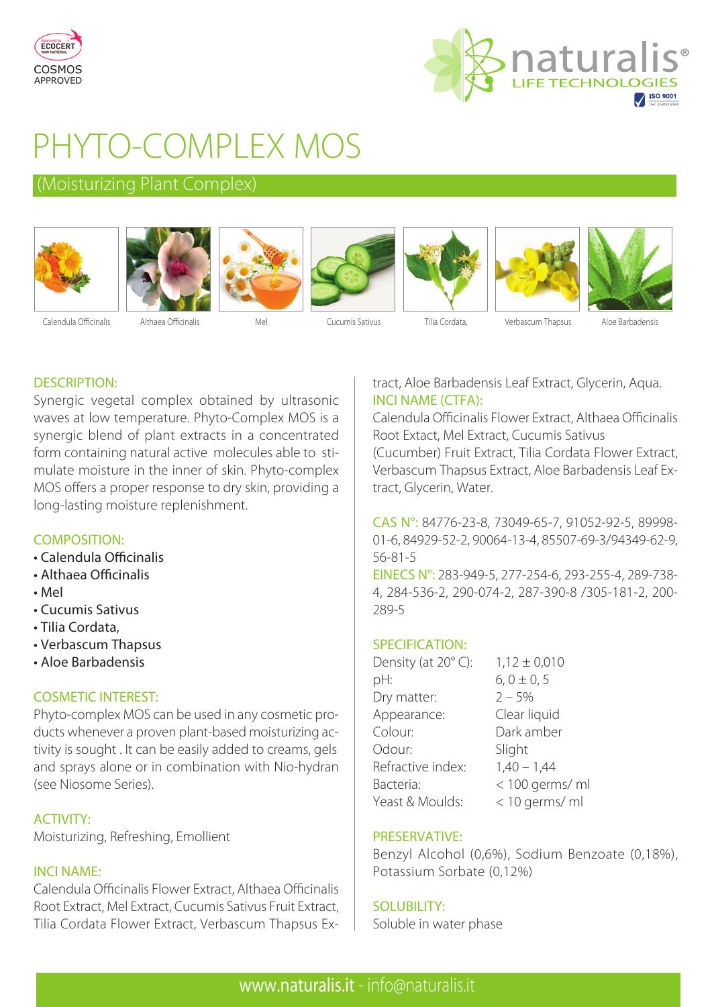



# PHYTO-COMPLEX MOS

# (Moisturizing Plant Complex)













Calendula Officinalis Althaea Officinalis Mel Cucumis Sativus Tilia Cordata, Verbascum Thapsus Aloe Barbadensis

# DESCRIPTION:

Synergic vegetal complex obtained by ultrasonic waves at low temperature. Phyto-Complex MOS is a synergic blend of plant extracts in a concentrated form containing natural active molecules able to stimulate moisture in the inner of skin. Phyto-complex MOS offers a proper response to dry skin, providing a long-lasting moisture replenishment.

# COMPOSITION:

- Calendula Officinalis
- Althaea Officinalis
- Mel
- Cucumis Sativus
- Tilia Cordata,
- Verbascum Thapsus
- Aloe Barbadensis

# COSMETIC INTEREST:

Phyto-complex MOS can be used in any cosmetic products whenever a proven plant-based moisturizing activity is sought . It can be easily added to creams, gels and sprays alone or in combination with Nio-hydran (see Niosome Series).

# ACTIVITY:

Moisturizing, Refreshing, Emollient

# INCI NAME:

Calendula Officinalis Flower Extract, Althaea Officinalis Root Extract, Mel Extract, Cucumis Sativus Fruit Extract, Tilia Cordata Flower Extract, Verbascum Thapsus Extract, Aloe Barbadensis Leaf Extract, Glycerin, Aqua. INCI NAME (CTFA):

Calendula Officinalis Flower Extract, Althaea Officinalis Root Extact, Mel Extract, Cucumis Sativus

(Cucumber) Fruit Extract, Tilia Cordata Flower Extract, Verbascum Thapsus Extract, Aloe Barbadensis Leaf Extract, Glycerin, Water.

CAS N°: 84776-23-8, 73049-65-7, 91052-92-5, 89998- 01-6, 84929-52-2, 90064-13-4, 85507-69-3/94349-62-9, 56-81-5

EINECS N°: 283-949-5, 277-254-6, 293-255-4, 289-738- 4, 284-536-2, 290-074-2, 287-390-8 /305-181-2, 200- 289-5

# SPECIFICATION:

| Density (at 20°C): | $1,12 \pm 0,010$ |
|--------------------|------------------|
| pH:                | $6, 0 \pm 0, 5$  |
| Dry matter:        | $2 - 5%$         |
| Appearance:        | Clear liquid     |
| Colour:            | Dark amber       |
| Odour:             | Slight           |
| Refractive index:  | $1,40 - 1,44$    |
| Bacteria:          | < 100 germs/ ml  |
| Yeast & Moulds:    | < 10 germs/ ml   |

# PRESERVATIVE:

Benzyl Alcohol (0,6%), Sodium Benzoate (0,18%), Potassium Sorbate (0,12%)

# SOLUBILITY:

Soluble in water phase